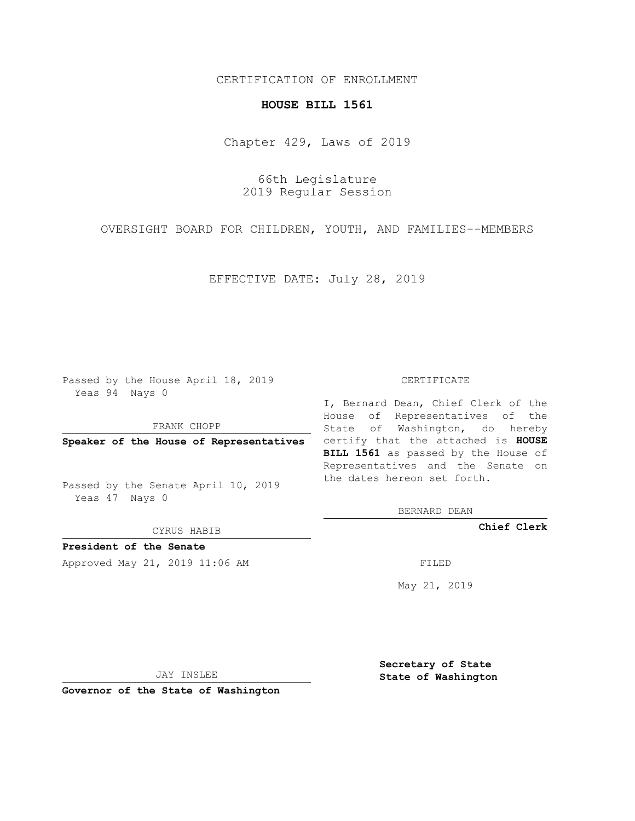### CERTIFICATION OF ENROLLMENT

#### **HOUSE BILL 1561**

Chapter 429, Laws of 2019

66th Legislature 2019 Regular Session

OVERSIGHT BOARD FOR CHILDREN, YOUTH, AND FAMILIES--MEMBERS

EFFECTIVE DATE: July 28, 2019

Passed by the House April 18, 2019 Yeas 94 Nays 0

FRANK CHOPP

Passed by the Senate April 10, 2019 Yeas 47 Nays 0

CYRUS HABIB

**President of the Senate**

Approved May 21, 2019 11:06 AM FILED

#### CERTIFICATE

**Speaker of the House of Representatives** certify that the attached is **HOUSE** I, Bernard Dean, Chief Clerk of the House of Representatives of the State of Washington, do hereby **BILL 1561** as passed by the House of Representatives and the Senate on the dates hereon set forth.

BERNARD DEAN

**Chief Clerk**

May 21, 2019

JAY INSLEE

**Governor of the State of Washington**

**Secretary of State State of Washington**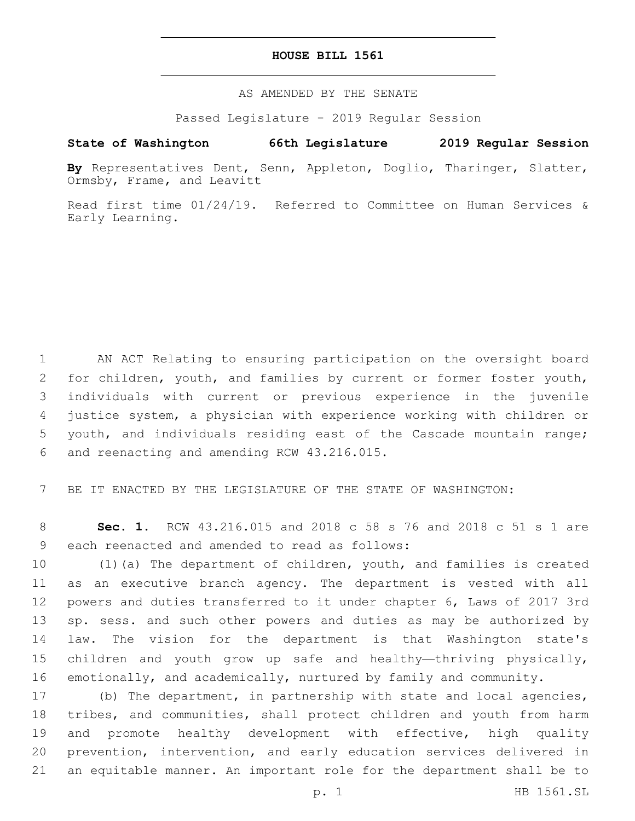#### **HOUSE BILL 1561**

AS AMENDED BY THE SENATE

Passed Legislature - 2019 Regular Session

## **State of Washington 66th Legislature 2019 Regular Session**

**By** Representatives Dent, Senn, Appleton, Doglio, Tharinger, Slatter, Ormsby, Frame, and Leavitt

Read first time 01/24/19. Referred to Committee on Human Services & Early Learning.

 AN ACT Relating to ensuring participation on the oversight board 2 for children, youth, and families by current or former foster youth, individuals with current or previous experience in the juvenile justice system, a physician with experience working with children or youth, and individuals residing east of the Cascade mountain range; and reenacting and amending RCW 43.216.015.6

7 BE IT ENACTED BY THE LEGISLATURE OF THE STATE OF WASHINGTON:

8 **Sec. 1.** RCW 43.216.015 and 2018 c 58 s 76 and 2018 c 51 s 1 are 9 each reenacted and amended to read as follows:

 (1)(a) The department of children, youth, and families is created as an executive branch agency. The department is vested with all powers and duties transferred to it under chapter 6, Laws of 2017 3rd sp. sess. and such other powers and duties as may be authorized by law. The vision for the department is that Washington state's children and youth grow up safe and healthy—thriving physically, emotionally, and academically, nurtured by family and community.

 (b) The department, in partnership with state and local agencies, tribes, and communities, shall protect children and youth from harm 19 and promote healthy development with effective, high quality prevention, intervention, and early education services delivered in an equitable manner. An important role for the department shall be to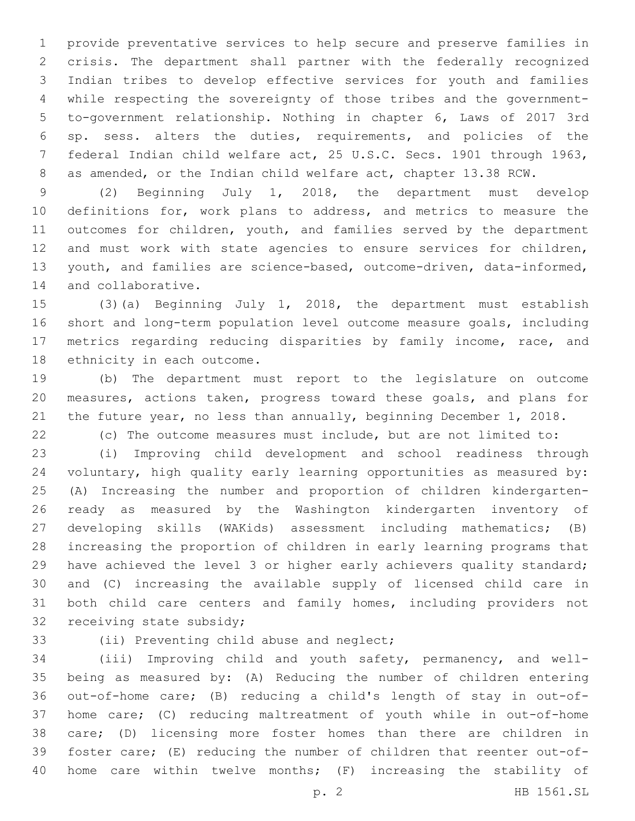provide preventative services to help secure and preserve families in crisis. The department shall partner with the federally recognized Indian tribes to develop effective services for youth and families while respecting the sovereignty of those tribes and the government- to-government relationship. Nothing in chapter 6, Laws of 2017 3rd sp. sess. alters the duties, requirements, and policies of the federal Indian child welfare act, 25 U.S.C. Secs. 1901 through 1963, as amended, or the Indian child welfare act, chapter 13.38 RCW.

 (2) Beginning July 1, 2018, the department must develop definitions for, work plans to address, and metrics to measure the outcomes for children, youth, and families served by the department and must work with state agencies to ensure services for children, youth, and families are science-based, outcome-driven, data-informed, 14 and collaborative.

 (3)(a) Beginning July 1, 2018, the department must establish short and long-term population level outcome measure goals, including metrics regarding reducing disparities by family income, race, and 18 ethnicity in each outcome.

 (b) The department must report to the legislature on outcome measures, actions taken, progress toward these goals, and plans for the future year, no less than annually, beginning December 1, 2018.

(c) The outcome measures must include, but are not limited to:

 (i) Improving child development and school readiness through voluntary, high quality early learning opportunities as measured by: (A) Increasing the number and proportion of children kindergarten- ready as measured by the Washington kindergarten inventory of developing skills (WAKids) assessment including mathematics; (B) increasing the proportion of children in early learning programs that have achieved the level 3 or higher early achievers quality standard; and (C) increasing the available supply of licensed child care in both child care centers and family homes, including providers not 32 receiving state subsidy;

# 33 (ii) Preventing child abuse and neglect;

 (iii) Improving child and youth safety, permanency, and well- being as measured by: (A) Reducing the number of children entering out-of-home care; (B) reducing a child's length of stay in out-of- home care; (C) reducing maltreatment of youth while in out-of-home care; (D) licensing more foster homes than there are children in foster care; (E) reducing the number of children that reenter out-of-home care within twelve months; (F) increasing the stability of

p. 2 HB 1561.SL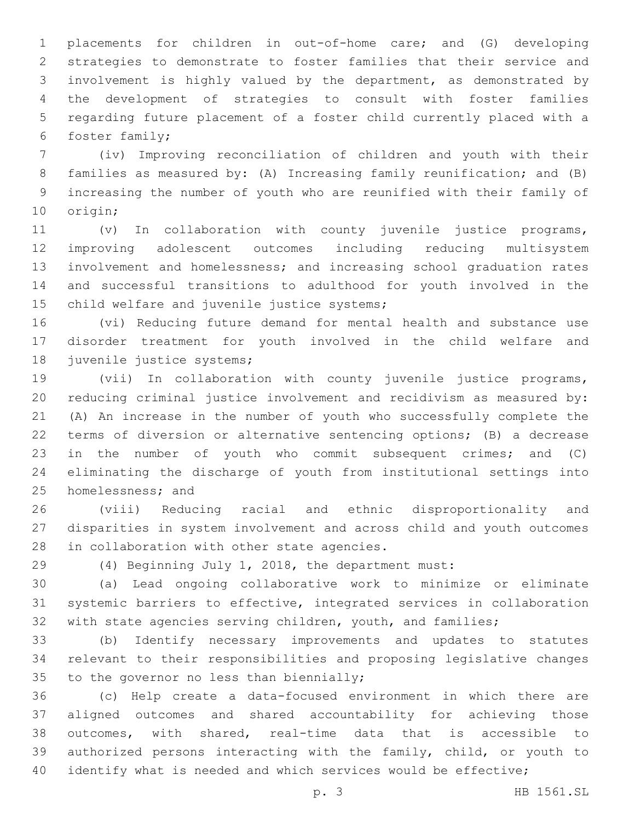placements for children in out-of-home care; and (G) developing strategies to demonstrate to foster families that their service and involvement is highly valued by the department, as demonstrated by the development of strategies to consult with foster families regarding future placement of a foster child currently placed with a 6 foster family;

 (iv) Improving reconciliation of children and youth with their families as measured by: (A) Increasing family reunification; and (B) increasing the number of youth who are reunified with their family of 10 origin;

 (v) In collaboration with county juvenile justice programs, improving adolescent outcomes including reducing multisystem involvement and homelessness; and increasing school graduation rates and successful transitions to adulthood for youth involved in the 15 child welfare and juvenile justice systems;

 (vi) Reducing future demand for mental health and substance use disorder treatment for youth involved in the child welfare and 18 juvenile justice systems;

 (vii) In collaboration with county juvenile justice programs, reducing criminal justice involvement and recidivism as measured by: (A) An increase in the number of youth who successfully complete the terms of diversion or alternative sentencing options; (B) a decrease in the number of youth who commit subsequent crimes; and (C) eliminating the discharge of youth from institutional settings into 25 homelessness; and

 (viii) Reducing racial and ethnic disproportionality and disparities in system involvement and across child and youth outcomes 28 in collaboration with other state agencies.

(4) Beginning July 1, 2018, the department must:

 (a) Lead ongoing collaborative work to minimize or eliminate systemic barriers to effective, integrated services in collaboration 32 with state agencies serving children, youth, and families;

 (b) Identify necessary improvements and updates to statutes relevant to their responsibilities and proposing legislative changes 35 to the governor no less than biennially;

 (c) Help create a data-focused environment in which there are aligned outcomes and shared accountability for achieving those outcomes, with shared, real-time data that is accessible to authorized persons interacting with the family, child, or youth to 40 identify what is needed and which services would be effective;

p. 3 HB 1561.SL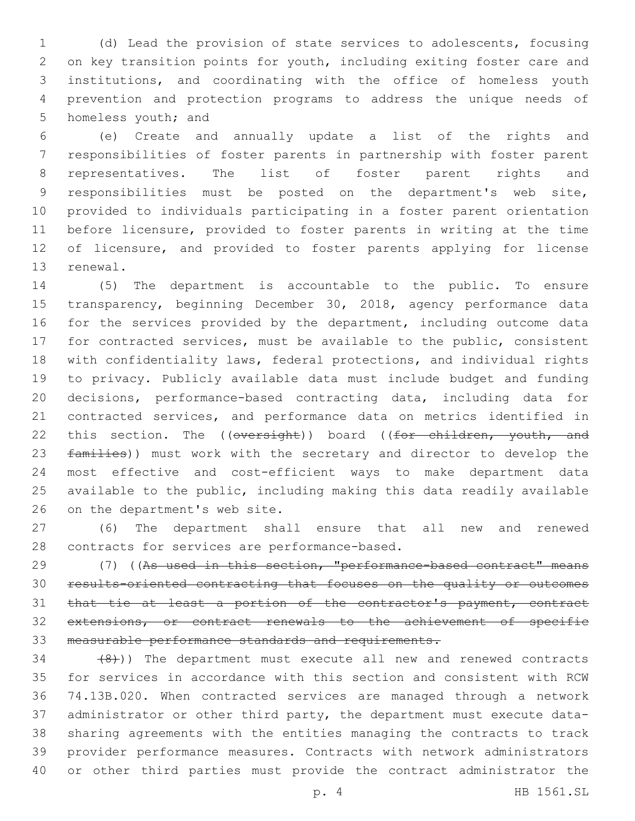(d) Lead the provision of state services to adolescents, focusing on key transition points for youth, including exiting foster care and institutions, and coordinating with the office of homeless youth prevention and protection programs to address the unique needs of 5 homeless youth; and

 (e) Create and annually update a list of the rights and responsibilities of foster parents in partnership with foster parent representatives. The list of foster parent rights and responsibilities must be posted on the department's web site, provided to individuals participating in a foster parent orientation before licensure, provided to foster parents in writing at the time 12 of licensure, and provided to foster parents applying for license 13 renewal.

 (5) The department is accountable to the public. To ensure 15 transparency, beginning December 30, 2018, agency performance data 16 for the services provided by the department, including outcome data for contracted services, must be available to the public, consistent with confidentiality laws, federal protections, and individual rights to privacy. Publicly available data must include budget and funding decisions, performance-based contracting data, including data for contracted services, and performance data on metrics identified in 22 this section. The ((oversight)) board ((for children, youth, and 23 families)) must work with the secretary and director to develop the most effective and cost-efficient ways to make department data available to the public, including making this data readily available 26 on the department's web site.

 (6) The department shall ensure that all new and renewed 28 contracts for services are performance-based.

29 (7) ((As used in this section, "performance-based contract" means results-oriented contracting that focuses on the quality or outcomes 31 that tie at least a portion of the contractor's payment, contract extensions, or contract renewals to the achievement of specific measurable performance standards and requirements.

 $(34 \t (+8))$ ) The department must execute all new and renewed contracts for services in accordance with this section and consistent with RCW 74.13B.020. When contracted services are managed through a network administrator or other third party, the department must execute data- sharing agreements with the entities managing the contracts to track provider performance measures. Contracts with network administrators or other third parties must provide the contract administrator the

p. 4 HB 1561.SL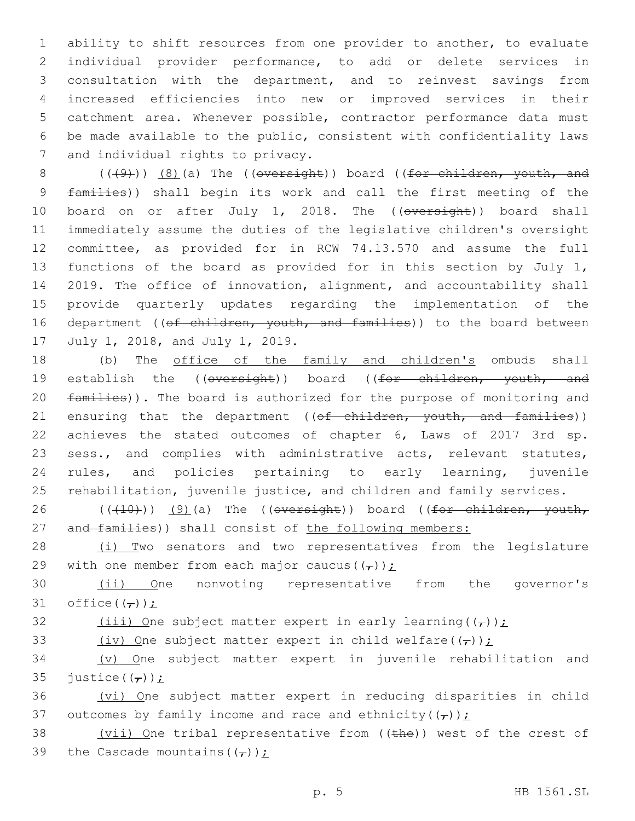ability to shift resources from one provider to another, to evaluate individual provider performance, to add or delete services in consultation with the department, and to reinvest savings from increased efficiencies into new or improved services in their catchment area. Whenever possible, contractor performance data must be made available to the public, consistent with confidentiality laws 7 and individual rights to privacy.

 $((+9))$   $(8)$  (a) The ((oversight)) board ((for children, youth, and families)) shall begin its work and call the first meeting of the 10 board on or after July 1, 2018. The ((oversight)) board shall immediately assume the duties of the legislative children's oversight committee, as provided for in RCW 74.13.570 and assume the full functions of the board as provided for in this section by July 1, 2019. The office of innovation, alignment, and accountability shall provide quarterly updates regarding the implementation of the 16 department ((of children, youth, and families)) to the board between 17 July 1, 2018, and July 1, 2019.

18 (b) The office of the family and children's ombuds shall 19 establish the ((oversight)) board ((for children, youth, and 20 families)). The board is authorized for the purpose of monitoring and 21 ensuring that the department ((of children, youth, and families)) 22 achieves the stated outcomes of chapter 6, Laws of 2017 3rd sp. 23 sess., and complies with administrative acts, relevant statutes, 24 rules, and policies pertaining to early learning, juvenile 25 rehabilitation, juvenile justice, and children and family services.

26  $((+10))$   $(9)$  (a) The ((oversight)) board ((for children, youth, 27 and families)) shall consist of the following members:

28 (i) Two senators and two representatives from the legislature 29 with one member from each major caucus( $(\tau)$ );

30 (ii) One nonvoting representative from the governor's 31 office( $(\tau)$ );

32 (iii) One subject matter expert in early learning( $(\tau)$ );

33 (iv) One subject matter expert in child welfare( $(\tau)$ );

34 (v) One subject matter expert in juvenile rehabilitation and 35 justice( $(\tau)$ )  $\dot{\tau}$ 

36 (vi) One subject matter expert in reducing disparities in child 37 outcomes by family income and race and ethnicity( $(\tau)$ );

38 (vii) One tribal representative from ((the)) west of the crest of 39 the Cascade mountains  $((\tau))$ :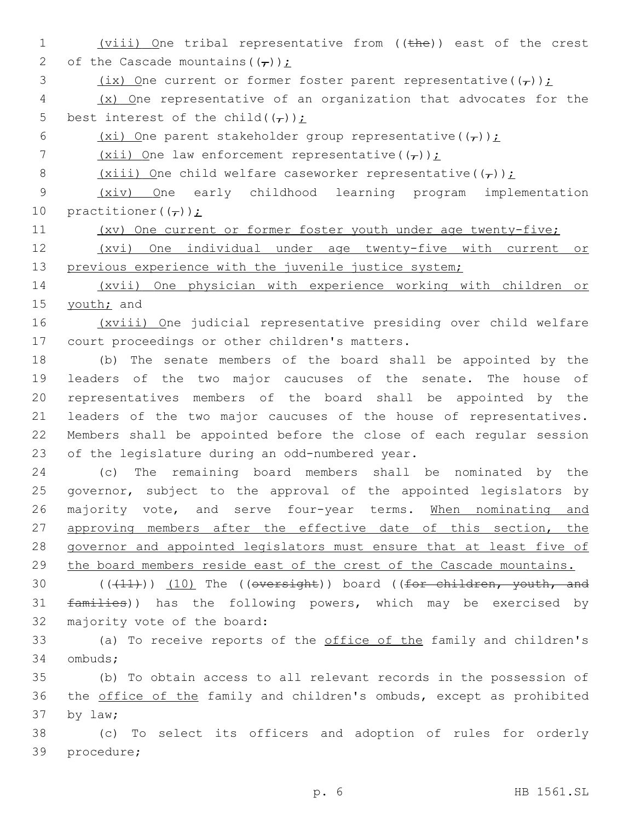1 (viii) One tribal representative from ((the)) east of the crest 2 of the Cascade mountains  $((\tau))$  : 3 (ix) One current or former foster parent representative( $(\tau)$ ); 4 (x) One representative of an organization that advocates for the 5 best interest of the child( $(\tau)$ ); 6 (xi) One parent stakeholder group representative( $(\tau)$ ); 7 (xii) One law enforcement representative( $(\tau)$ ); 8 (xiii) One child welfare caseworker representative( $(\tau)$ ); 9 (xiv) One early childhood learning program implementation 10 practitioner( $(\tau)$ ): 11 (xv) One current or former foster youth under age twenty-five; 12 (xvi) One individual under age twenty-five with current or 13 previous experience with the juvenile justice system; 14 (xvii) One physician with experience working with children or 15 youth; and 16 (xviii) One judicial representative presiding over child welfare 17 court proceedings or other children's matters. 18 (b) The senate members of the board shall be appointed by the 19 leaders of the two major caucuses of the senate. The house of 20 representatives members of the board shall be appointed by the 21 leaders of the two major caucuses of the house of representatives. 22 Members shall be appointed before the close of each regular session 23 of the legislature during an odd-numbered year. 24 (c) The remaining board members shall be nominated by the 25 governor, subject to the approval of the appointed legislators by 26 majority vote, and serve four-year terms. When nominating and 27 approving members after the effective date of this section, the 28 governor and appointed legislators must ensure that at least five of 29 the board members reside east of the crest of the Cascade mountains. 30  $((+11))$   $(10)$  The ((oversight)) board ((for children, youth, and 31 families)) has the following powers, which may be exercised by 32 majority vote of the board: 33 (a) To receive reports of the office of the family and children's 34 ombuds; 35 (b) To obtain access to all relevant records in the possession of 36 the office of the family and children's ombuds, except as prohibited 37 by law; 38 (c) To select its officers and adoption of rules for orderly 39 procedure;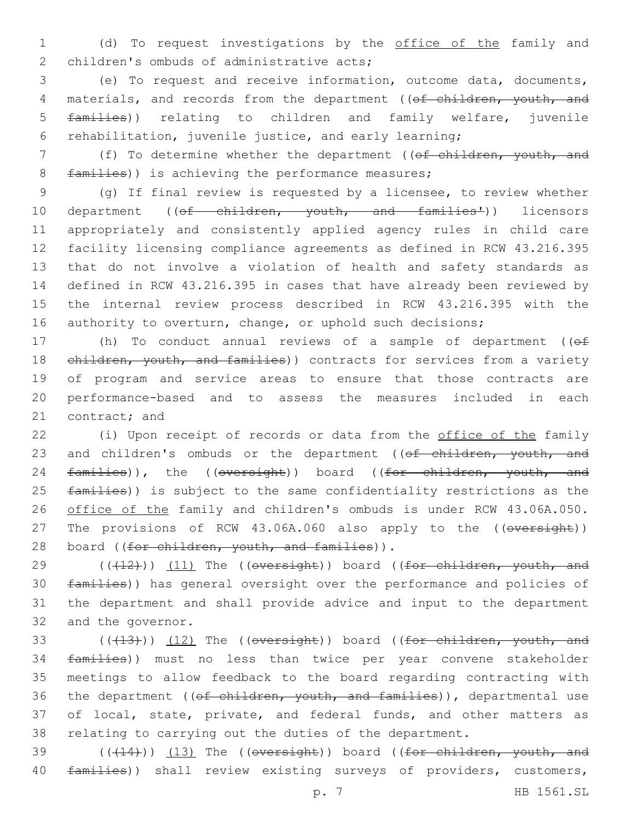1 (d) To request investigations by the office of the family and 2 children's ombuds of administrative acts;

 (e) To request and receive information, outcome data, documents, 4 materials, and records from the department ((of children, youth, and families)) relating to children and family welfare, juvenile rehabilitation, juvenile justice, and early learning;

7 (f) To determine whether the department ((of children, youth, and 8 families)) is achieving the performance measures;

 (g) If final review is requested by a licensee, to review whether 10 department ((of children, youth, and families<sup>1</sup>)) licensors appropriately and consistently applied agency rules in child care facility licensing compliance agreements as defined in RCW 43.216.395 that do not involve a violation of health and safety standards as defined in RCW 43.216.395 in cases that have already been reviewed by the internal review process described in RCW 43.216.395 with the 16 authority to overturn, change, or uphold such decisions;

17 (h) To conduct annual reviews of a sample of department ((of 18 ehildren, youth, and families)) contracts for services from a variety 19 of program and service areas to ensure that those contracts are 20 performance-based and to assess the measures included in each 21 contract; and

22 (i) Upon receipt of records or data from the office of the family 23 and children's ombuds or the department ((of children, youth, and 24 families)), the ((oversight)) board ((for children, youth, and 25 families)) is subject to the same confidentiality restrictions as the 26 office of the family and children's ombuds is under RCW 43.06A.050. 27 The provisions of RCW 43.06A.060 also apply to the ((oversight)) 28 board ((for children, youth, and families)).

 $((+12))$  (11) The ((oversight)) board ((for children, youth, and families)) has general oversight over the performance and policies of the department and shall provide advice and input to the department 32 and the governor.

33 (((413))) (12) The ((oversight)) board ((for children, youth, and 34 families)) must no less than twice per year convene stakeholder 35 meetings to allow feedback to the board regarding contracting with 36 the department ((of children, youth, and families)), departmental use 37 of local, state, private, and federal funds, and other matters as 38 relating to carrying out the duties of the department.

39 (((414))) (13) The ((oversight)) board ((for children, youth, and 40 families)) shall review existing surveys of providers, customers,

p. 7 HB 1561.SL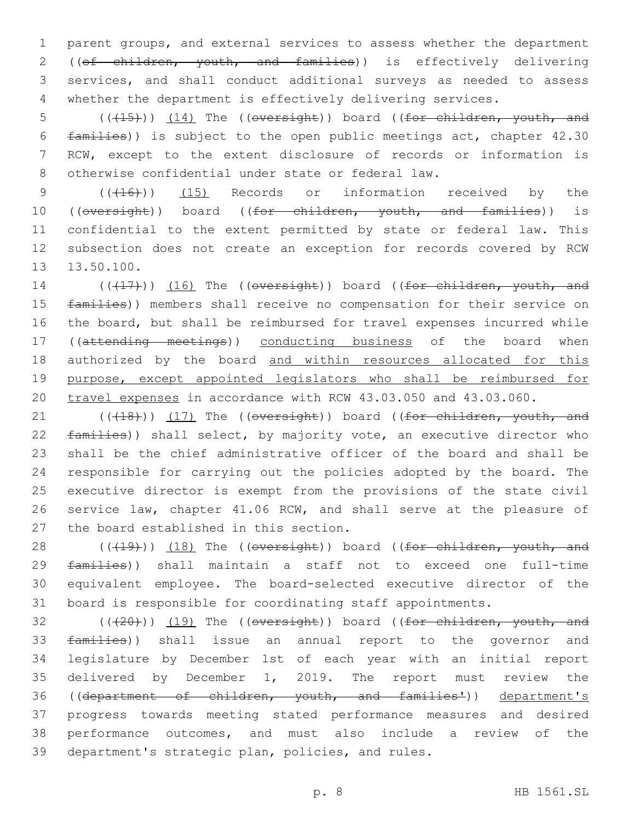parent groups, and external services to assess whether the department 2 ((of children, youth, and families)) is effectively delivering services, and shall conduct additional surveys as needed to assess whether the department is effectively delivering services.

5 (( $(15)$ )) (14) The ((oversight)) board ((for children, youth, and 6 families)) is subject to the open public meetings act, chapter 42.30 7 RCW, except to the extent disclosure of records or information is 8 otherwise confidential under state or federal law.

9 (( $(16)$ ) (15) Records or information received by the 10 ((oversight)) board ((for children, youth, and families)) is 11 confidential to the extent permitted by state or federal law. This 12 subsection does not create an exception for records covered by RCW 13.50.100.

14 (((17))) (16) The ((oversight)) board ((for children, youth, and 15 families)) members shall receive no compensation for their service on 16 the board, but shall be reimbursed for travel expenses incurred while 17 ((attending meetings)) conducting business of the board when 18 authorized by the board and within resources allocated for this 19 purpose, except appointed legislators who shall be reimbursed for 20 travel expenses in accordance with RCW 43.03.050 and 43.03.060.

21 (((18))) (17) The ((oversight)) board ((for children, youth, and 22 families)) shall select, by majority vote, an executive director who 23 shall be the chief administrative officer of the board and shall be 24 responsible for carrying out the policies adopted by the board. The 25 executive director is exempt from the provisions of the state civil 26 service law, chapter 41.06 RCW, and shall serve at the pleasure of 27 the board established in this section.

28 (((19))) (18) The ((oversight)) board ((for children, youth, and 29 families)) shall maintain a staff not to exceed one full-time 30 equivalent employee. The board-selected executive director of the 31 board is responsible for coordinating staff appointments.

 (( $(20)$ )) (19) The (( $oversight$ )) board (( $for$  children, youth, and 33 families)) shall issue an annual report to the governor and legislature by December 1st of each year with an initial report delivered by December 1, 2019. The report must review the ((department of children, youth, and families')) department's progress towards meeting stated performance measures and desired performance outcomes, and must also include a review of the 39 department's strategic plan, policies, and rules.